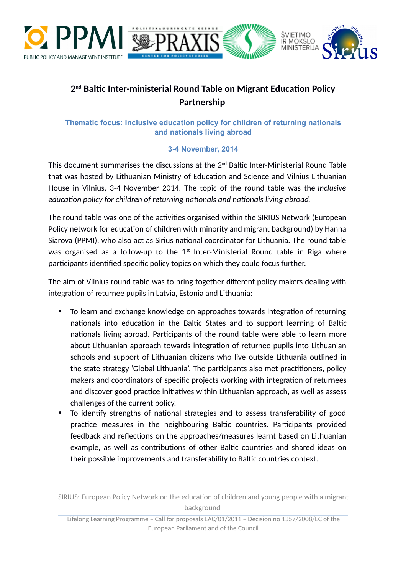



# **2 nd Baltic Inter-ministerial Round Table on Migrant Education Policy Partnership**

## **Thematic focus: Inclusive education policy for children of returning nationals and nationals living abroad**

## **3-4 November, 2014**

This document summarises the discussions at the  $2<sup>nd</sup>$  Baltic Inter-Ministerial Round Table that was hosted by Lithuanian Ministry of Education and Science and Vilnius Lithuanian House in Vilnius, 3-4 November 2014. The topic of the round table was the *Inclusive education policy for children of returning nationals and nationals living abroad*.

The round table was one of the activities organised within the SIRIUS Network (European Policy network for education of children with minority and migrant background) by Hanna Siarova (PPMI), who also act as Sirius national coordinator for Lithuania. The round table was organised as a follow-up to the  $1<sup>st</sup>$  Inter-Ministerial Round table in Riga where participants identified specific policy topics on which they could focus further.

The aim of Vilnius round table was to bring together different policy makers dealing with integration of returnee pupils in Latvia, Estonia and Lithuania:

- To learn and exchange knowledge on approaches towards integration of returning nationals into education in the Baltic States and to support learning of Baltic nationals living abroad. Participants of the round table were able to learn more about Lithuanian approach towards integration of returnee pupils into Lithuanian schools and support of Lithuanian citizens who live outside Lithuania outlined in the state strategy 'Global Lithuania'. The participants also met practitioners, policy makers and coordinators of specific projects working with integration of returnees and discover good practice initiatives within Lithuanian approach, as well as assess challenges of the current policy.
- To identify strengths of national strategies and to assess transferability of good practice measures in the neighbouring Baltic countries. Participants provided feedback and reflections on the approaches/measures learnt based on Lithuanian example, as well as contributions of other Baltic countries and shared ideas on their possible improvements and transferability to Baltic countries context.

SIRIUS: European Policy Network on the education of children and young people with a migrant background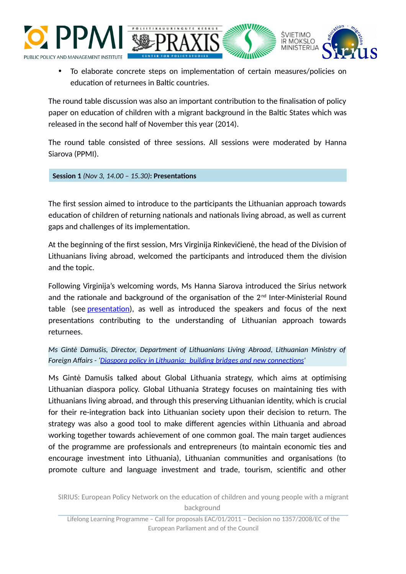



ŜVIETIMO **IR MOKSLO** 

The round table discussion was also an important contribution to the finalisation of policy paper on education of children with a migrant background in the Baltic States which was released in the second half of November this year (2014).

The round table consisted of three sessions. All sessions were moderated by Hanna Siarova (PPMI).

**Session 1** *(Nov 3, 14.00 – 15.30)***: Presentations**

The first session aimed to introduce to the participants the Lithuanian approach towards education of children of returning nationals and nationals living abroad, as well as current gaps and challenges of its implementation.

At the beginning of the first session, Mrs Virginija Rinkevičienė, the head of the Division of Lithuanians living abroad, welcomed the participants and introduced them the division and the topic.

Following Virginija's welcoming words, Ms Hanna Siarova introduced the Sirius network and the rationale and background of the organisation of the  $2<sup>nd</sup>$  Inter-Ministerial Round table (see presentation), as well as introduced the speakers and focus of the next presentations contributing to the understanding of Lithuanian approach towards returnees.

*Ms Gintė Damušis, Director, Department of Lithuanians Living Abroad, Lithuanian Ministry of Foreign Affairs - 'Diaspora policy in Lithuania: building bridges and new connections'*

Ms Gintė Damušis talked about Global Lithuania strategy, which aims at optimising Lithuanian diaspora policy. Global Lithuania Strategy focuses on maintaining ties with Lithuanians living abroad, and through this preserving Lithuanian identity, which is crucial for their re-integration back into Lithuanian society upon their decision to return. The strategy was also a good tool to make different agencies within Lithuania and abroad working together towards achievement of one common goal. The main target audiences of the programme are professionals and entrepreneurs (to maintain economic ties and encourage investment into Lithuania), Lithuanian communities and organisations (to promote culture and language investment and trade, tourism, scientific and other

SIRIUS: European Policy Network on the education of children and young people with a migrant background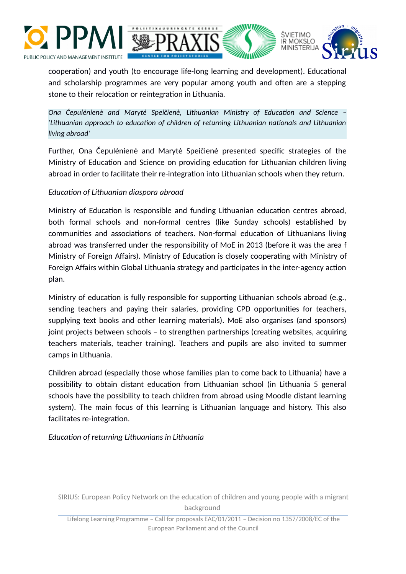



cooperation) and youth (to encourage life-long learning and development). Educational and scholarship programmes are very popular among youth and often are a stepping stone to their relocation or reintegration in Lithuania.

*Ona Čepulėnienė and Marytė Speičienė, Lithuanian Ministry of Education and Science – 'Lithuanian approach to education of children of returning Lithuanian nationals and Lithuanian living abroad'*

Further, Ona Čepulėnienė and Marytė Speičienė presented specific strategies of the Ministry of Education and Science on providing education for Lithuanian children living abroad in order to facilitate their re-integration into Lithuanian schools when they return.

### *Education of Lithuanian diaspora abroad*

Ministry of Education is responsible and funding Lithuanian education centres abroad, both formal schools and non-formal centres (like Sunday schools) established by communities and associations of teachers. Non-formal education of Lithuanians living abroad was transferred under the responsibility of MoE in 2013 (before it was the area f Ministry of Foreign Affairs). Ministry of Education is closely cooperating with Ministry of Foreign Affairs within Global Lithuania strategy and participates in the inter-agency action plan.

Ministry of education is fully responsible for supporting Lithuanian schools abroad (e.g., sending teachers and paying their salaries, providing CPD opportunities for teachers, supplying text books and other learning materials). MoE also organises (and sponsors) joint projects between schools – to strengthen partnerships (creating websites, acquiring teachers materials, teacher training). Teachers and pupils are also invited to summer camps in Lithuania.

Children abroad (especially those whose families plan to come back to Lithuania) have a possibility to obtain distant education from Lithuanian school (in Lithuania 5 general schools have the possibility to teach children from abroad using Moodle distant learning system). The main focus of this learning is Lithuanian language and history. This also facilitates re-integration.

*Education of returning Lithuanians in Lithuania*

SIRIUS: European Policy Network on the education of children and young people with a migrant background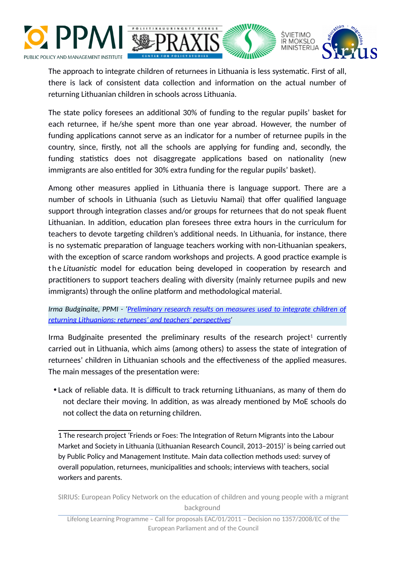



The approach to integrate children of returnees in Lithuania is less systematic. First of all, there is lack of consistent data collection and information on the actual number of returning Lithuanian children in schools across Lithuania.

The state policy foresees an additional 30% of funding to the regular pupils' basket for each returnee, if he/she spent more than one year abroad. However, the number of funding applications cannot serve as an indicator for a number of returnee pupils in the country, since, firstly, not all the schools are applying for funding and, secondly, the funding statistics does not disaggregate applications based on nationality (new immigrants are also entitled for 30% extra funding for the regular pupils' basket).

Among other measures applied in Lithuania there is language support. There are a number of schools in Lithuania (such as Lietuviu Namai) that offer qualified language support through integration classes and/or groups for returnees that do not speak fluent Lithuanian. In addition, education plan foresees three extra hours in the curriculum for teachers to devote targeting children's additional needs. In Lithuania, for instance, there is no systematic preparation of language teachers working with non-Lithuanian speakers, with the exception of scarce random workshops and projects. A good practice example is t h e *Lituanistic* model for education being developed in cooperation by research and practitioners to support teachers dealing with diversity (mainly returnee pupils and new immigrants) through the online platform and methodological material.

*Irma Budginaite, PPMI - 'Preliminary research results on measures used to integrate children of returning Lithuanians: returnees' and teachers' perspectives'*

Irma Budginaite presented the preliminary results of the research project<sup>[1](#page-3-0)</sup> currently carried out in Lithuania, which aims (among others) to assess the state of integration of returnees' children in Lithuanian schools and the effectiveness of the applied measures. The main messages of the presentation were:

 Lack of reliable data. It is difficult to track returning Lithuanians, as many of them do not declare their moving. In addition, as was already mentioned by MoE schools do not collect the data on returning children.

SIRIUS: European Policy Network on the education of children and young people with a migrant background

<span id="page-3-0"></span><sup>1</sup> -The research project 'Friends or Foes: The Integration of Return Migrants into the Labour Market and Society in Lithuania (Lithuanian Research Council, 2013–2015)' is being carried out by Public Policy and Management Institute. Main data collection methods used: survey of overall population, returnees, municipalities and schools; interviews with teachers, social workers and parents.

Lifelong Learning Programme – Call for proposals EAC/01/2011 – Decision no 1357/2008/EC of the European Parliament and of the Council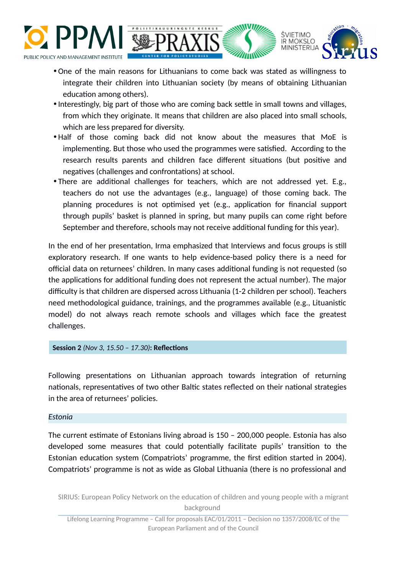



ŚVIETIMO **IR MOKSLO MINISTERLIA** 

- Interestingly, big part of those who are coming back settle in small towns and villages, from which they originate. It means that children are also placed into small schools, which are less prepared for diversity.
- Half of those coming back did not know about the measures that MoE is implementing. But those who used the programmes were satisfied. According to the research results parents and children face different situations (but positive and negatives (challenges and confrontations) at school.
- There are additional challenges for teachers, which are not addressed yet. E.g., teachers do not use the advantages (e.g., language) of those coming back. The planning procedures is not optimised yet (e.g., application for financial support through pupils' basket is planned in spring, but many pupils can come right before September and therefore, schools may not receive additional funding for this year).

In the end of her presentation, Irma emphasized that Interviews and focus groups is still exploratory research. If one wants to help evidence-based policy there is a need for official data on returnees' children. In many cases additional funding is not requested (so the applications for additional funding does not represent the actual number). The major difficulty is that children are dispersed across Lithuania (1-2 children per school). Teachers need methodological guidance, trainings, and the programmes available (e.g., Lituanistic model) do not always reach remote schools and villages which face the greatest challenges.

#### **Session 2** *(Nov 3, 15.50 – 17.30)***: Reflections**

Following presentations on Lithuanian approach towards integration of returning nationals, representatives of two other Baltic states reflected on their national strategies in the area of returnees' policies.

#### *Estonia*

The current estimate of Estonians living abroad is 150 – 200,000 people. Estonia has also developed some measures that could potentially facilitate pupils' transition to the Estonian education system (Compatriots' programme, the first edition started in 2004). Compatriots' programme is not as wide as Global Lithuania (there is no professional and

SIRIUS: European Policy Network on the education of children and young people with a migrant background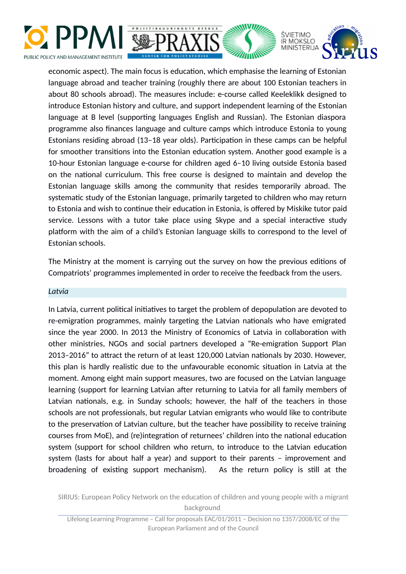



economic aspect). The main focus is education, which emphasise the learning of Estonian language abroad and teacher training (roughly there are about 100 Estonian teachers in about 80 schools abroad). The measures include: e-course called Keeleklikk designed to introduce Estonian history and culture, and support independent learning of the Estonian language at B level (supporting languages English and Russian). The Estonian diaspora programme also finances language and culture camps which introduce Estonia to young Estonians residing abroad (13–18 year olds). Participation in these camps can be helpful for smoother transitions into the Estonian education system. Another good example is a 10-hour Estonian language e-course for children aged 6–10 living outside Estonia based on the national curriculum. This free course is designed to maintain and develop the Estonian language skills among the community that resides temporarily abroad. The systematic study of the Estonian language, primarily targeted to children who may return to Estonia and wish to continue their education in Estonia, is offered by Miskike tutor paid service. Lessons with a tutor take place using Skype and a special interactive study platform with the aim of a child's Estonian language skills to correspond to the level of Estonian schools.

The Ministry at the moment is carrying out the survey on how the previous editions of Compatriots' programmes implemented in order to receive the feedback from the users.

#### *Latvia*

In Latvia, current political initiatives to target the problem of depopulation are devoted to re-emigration programmes, mainly targeting the Latvian nationals who have emigrated since the year 2000. In 2013 the Ministry of Economics of Latvia in collaboration with other ministries, NGOs and social partners developed a "Re-emigration Support Plan 2013–2016" to attract the return of at least 120,000 Latvian nationals by 2030. However, this plan is hardly realistic due to the unfavourable economic situation in Latvia at the moment. Among eight main support measures, two are focused on the Latvian language learning (support for learning Latvian after returning to Latvia for all family members of Latvian nationals, e.g. in Sunday schools; however, the half of the teachers in those schools are not professionals, but regular Latvian emigrants who would like to contribute to the preservation of Latvian culture, but the teacher have possibility to receive training courses from MoE), and (re)integration of returnees' children into the national education system (support for school children who return, to introduce to the Latvian education system (lasts for about half a year) and support to their parents – improvement and broadening of existing support mechanism). As the return policy is still at the

SIRIUS: European Policy Network on the education of children and young people with a migrant background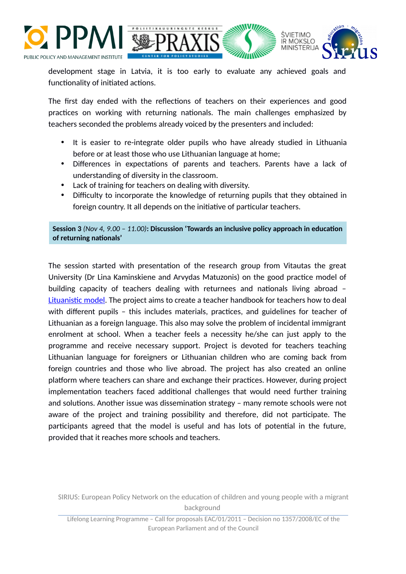



development stage in Latvia, it is too early to evaluate any achieved goals and functionality of initiated actions.

The first day ended with the reflections of teachers on their experiences and good practices on working with returning nationals. The main challenges emphasized by teachers seconded the problems already voiced by the presenters and included:

- It is easier to re-integrate older pupils who have already studied in Lithuania before or at least those who use Lithuanian language at home;
- Differences in expectations of parents and teachers. Parents have a lack of understanding of diversity in the classroom.
- Lack of training for teachers on dealing with diversity.
- Difficulty to incorporate the knowledge of returning pupils that they obtained in foreign country. It all depends on the initiative of particular teachers.

**Session 3** *(Nov 4, 9.00 – 11.00)***: Discussion 'Towards an inclusive policy approach in education of returning nationals'**

The session started with presentation of the research group from Vitautas the great University (Dr Lina Kaminskiene and Arvydas Matuzonis) on the good practice model of building capacity of teachers dealing with returnees and nationals living abroad – Lituanistic model. The project aims to create a teacher handbook for teachers how to deal with different pupils – this includes materials, practices, and guidelines for teacher of Lithuanian as a foreign language. This also may solve the problem of incidental immigrant enrolment at school. When a teacher feels a necessity he/she can just apply to the programme and receive necessary support. Project is devoted for teachers teaching Lithuanian language for foreigners or Lithuanian children who are coming back from foreign countries and those who live abroad. The project has also created an online platform where teachers can share and exchange their practices. However, during project implementation teachers faced additional challenges that would need further training and solutions. Another issue was dissemination strategy – many remote schools were not aware of the project and training possibility and therefore, did not participate. The participants agreed that the model is useful and has lots of potential in the future, provided that it reaches more schools and teachers.

SIRIUS: European Policy Network on the education of children and young people with a migrant background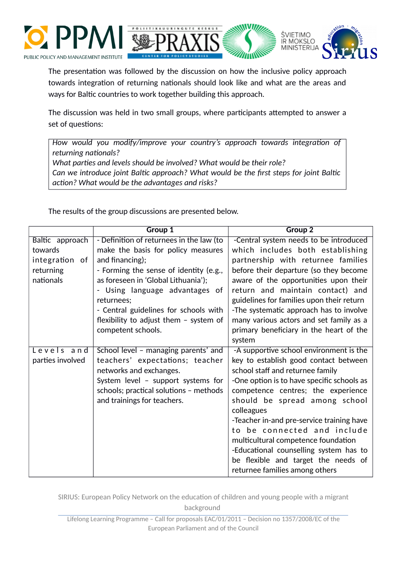



The presentation was followed by the discussion on how the inclusive policy approach towards integration of returning nationals should look like and what are the areas and ways for Baltic countries to work together building this approach.

The discussion was held in two small groups, where participants attempted to answer a set of questions:

*How would you modify/improve your country's approach towards integration of returning nationals? What parties and levels should be involved? What would be their role? Can we introduce joint Baltic approach? What would be the first steps for joint Baltic action? What would be the advantages and risks?*

The results of the group discussions are presented below.

|                  | <b>Group 1</b>                           | <b>Group 2</b>                             |
|------------------|------------------------------------------|--------------------------------------------|
| Baltic approach  | - Definition of returnees in the law (to | -Central system needs to be introduced     |
| towards          | make the basis for policy measures       | which includes both establishing           |
| integration of   | and financing);                          | partnership with returnee families         |
| returning        | - Forming the sense of identity (e.g.,   | before their departure (so they become     |
| nationals        | as foreseen in 'Global Lithuania');      | aware of the opportunities upon their      |
|                  | - Using language advantages of           | return and maintain contact) and           |
|                  | returnees:                               | guidelines for families upon their return  |
|                  | - Central guidelines for schools with    | -The systematic approach has to involve    |
|                  | flexibility to adjust them $-$ system of | many various actors and set family as a    |
|                  | competent schools.                       | primary beneficiary in the heart of the    |
|                  |                                          | system                                     |
| Levels and       | School level - managing parents' and     | -A supportive school environment is the    |
| parties involved | teachers' expectations; teacher          | key to establish good contact between      |
|                  | networks and exchanges.                  | school staff and returnee family           |
|                  | System level - support systems for       | -One option is to have specific schools as |
|                  | schools; practical solutions - methods   | competence centres; the experience         |
|                  | and trainings for teachers.              | should be spread among school              |
|                  |                                          | colleagues                                 |
|                  |                                          | -Teacher in-and pre-service training have  |
|                  |                                          | to be connected and include                |
|                  |                                          | multicultural competence foundation        |
|                  |                                          | -Educational counselling system has to     |
|                  |                                          | be flexible and target the needs of        |
|                  |                                          | returnee families among others             |

SIRIUS: European Policy Network on the education of children and young people with a migrant background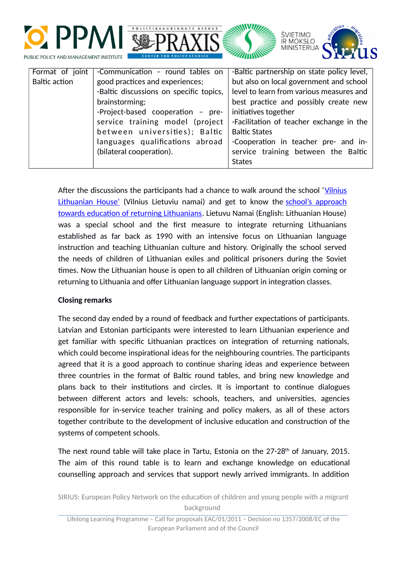



| Format of joint | -Communication - round tables on        | -Baltic partnership on state policy level, |
|-----------------|-----------------------------------------|--------------------------------------------|
| Baltic action   | good practices and experiences;         | but also on local government and school    |
|                 | -Baltic discussions on specific topics, | level to learn from various measures and   |
|                 | brainstorming;                          | best practice and possibly create new      |
|                 | -Project-based cooperation - pre-       | initiatives together                       |
|                 | service training model (project         | -Facilitation of teacher exchange in the   |
|                 | between universities); Baltic           | <b>Baltic States</b>                       |
|                 | languages qualifications abroad         | -Cooperation in teacher pre- and in-       |
|                 | (bilateral cooperation).                | service training between the Baltic        |
|                 |                                         | <b>States</b>                              |

After the discussions the participants had a chance to walk around the school ['Vilnius](http://www.lietuviunamai.vilnius.lm.lt/index_files/eng_info.htm) [Lithuanian House'](http://www.lietuviunamai.vilnius.lm.lt/index_files/eng_info.htm) (Vilnius Lietuviu namai) and get to know the school's approach towards education of returning Lithuanians. Lietuvu Namai (English: Lithuanian House) was a special school and the first measure to integrate returning Lithuanians established as far back as 1990 with an intensive focus on Lithuanian language instruction and teaching Lithuanian culture and history. Originally the school served the needs of children of Lithuanian exiles and political prisoners during the Soviet times. Now the Lithuanian house is open to all children of Lithuanian origin coming or returning to Lithuania and offer Lithuanian language support in integration classes.

### **Closing remarks**

The second day ended by a round of feedback and further expectations of participants. Latvian and Estonian participants were interested to learn Lithuanian experience and get familiar with specific Lithuanian practices on integration of returning nationals, which could become inspirational ideas for the neighbouring countries. The participants agreed that it is a good approach to continue sharing ideas and experience between three countries in the format of Baltic round tables, and bring new knowledge and plans back to their institutions and circles. It is important to continue dialogues between different actors and levels: schools, teachers, and universities, agencies responsible for in-service teacher training and policy makers, as all of these actors together contribute to the development of inclusive education and construction of the systems of competent schools.

The next round table will take place in Tartu, Estonia on the  $27-28<sup>th</sup>$  of January, 2015. The aim of this round table is to learn and exchange knowledge on educational counselling approach and services that support newly arrived immigrants. In addition

SIRIUS: European Policy Network on the education of children and young people with a migrant background

Lifelong Learning Programme – Call for proposals EAC/01/2011 – Decision no 1357/2008/EC of the European Parliament and of the Council